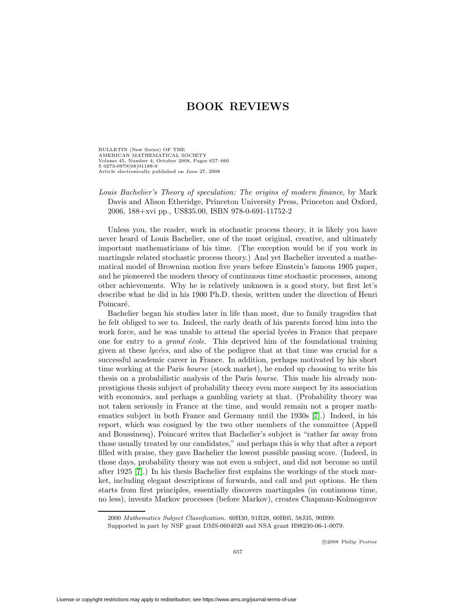BULLETIN (New Series) OF THE AMERICAN MATHEMATICAL SOCIETY Volume 45, Number 4, October 2008, Pages 657–660 S 0273-0979(08)01188-9 Article electronically published on June 27, 2008

## Louis Bachelier's Theory of speculation: The origins of modern finance, by Mark Davis and Alison Etheridge, Princeton University Press, Princeton and Oxford, 2006, 188+xvi pp., US\$35.00, ISBN 978-0-691-11752-2

Unless you, the reader, work in stochastic process theory, it is likely you have never heard of Louis Bachelier, one of the most original, creative, and ultimately important mathematicians of his time. (The exception would be if you work in martingale related stochastic process theory.) And yet Bachelier invented a mathematical model of Brownian motion five years before Einstein's famous 1905 paper, and he pioneered the modern theory of continuous time stochastic processes, among other achievements. Why he is relatively unknown is a good story, but first let's describe what he did in his 1900 Ph.D. thesis, written under the direction of Henri Poincaré.

Bachelier began his studies later in life than most, due to family tragedies that he felt obliged to see to. Indeed, the early death of his parents forced him into the work force, and he was unable to attend the special lycées in France that prepare one for entry to a *grand école*. This deprived him of the foundational training given at these  $lyc\acute{e}es$ , and also of the pedigree that at that time was crucial for a successful academic career in France. In addition, perhaps motivated by his short time working at the Paris bourse (stock market), he ended up choosing to write his thesis on a probabilistic analysis of the Paris bourse. This made his already nonprestigious thesis subject of probability theory even more suspect by its association with economics, and perhaps a gambling variety at that. (Probability theory was not taken seriously in France at the time, and would remain not a proper mathematics subject in both France and Germany until the 1930s [\[7\]](#page-3-0).) Indeed, in his report, which was cosigned by the two other members of the committee (Appell and Boussinesq), Poincaré writes that Bachelier's subject is "rather far away from those usually treated by our candidates," and perhaps this is why that after a report filled with praise, they gave Bachelier the lowest possible passing score. (Indeed, in those days, probability theory was not even a subject, and did not become so until after 1925 [\[7\]](#page-3-0).) In his thesis Bachelier first explains the workings of the stock market, including elegant descriptions of forwards, and call and put options. He then starts from first principles, essentially discovers martingales (in continuous time, no less), invents Markov processes (before Markov), creates Chapman-Kolmogorov

2000 Mathematics Subject Classification. 60H30, 91B28, 60H05, 58J35, 90B99.

Supported in part by NSF grant DMS-0604020 and NSA grant H98230-06-1-0079.

c 2008 Philip Protter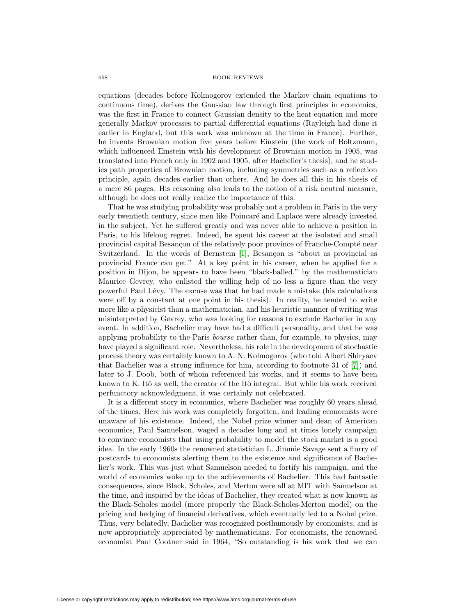equations (decades before Kolmogorov extended the Markov chain equations to continuous time), derives the Gaussian law through first principles in economics, was the first in France to connect Gaussian density to the heat equation and more generally Markov processes to partial differential equations (Rayleigh had done it earlier in England, but this work was unknown at the time in France). Further, he invents Brownian motion five years before Einstein (the work of Boltzmann, which influenced Einstein with his development of Brownian motion in 1905, was translated into French only in 1902 and 1905, after Bachelier's thesis), and he studies path properties of Brownian motion, including symmetries such as a reflection principle, again decades earlier than others. And he does all this in his thesis of a mere 86 pages. His reasoning also leads to the notion of a risk neutral measure, although he does not really realize the importance of this.

That he was studying probability was probably not a problem in Paris in the very early twentieth century, since men like Poincaré and Laplace were already invested in the subject. Yet he suffered greatly and was never able to achieve a position in Paris, to his lifelong regret. Indeed, he spent his career at the isolated and small provincial capital Besançon of the relatively poor province of Franche-Compté near Switzerland. In the words of Bernstein [\[1\]](#page-3-1), Besançon is "about as provincial as provincial France can get." At a key point in his career, when he applied for a position in Dijon, he appears to have been "black-balled," by the mathematician Maurice Gevrey, who enlisted the willing help of no less a figure than the very powerful Paul L´evy. The excuse was that he had made a mistake (his calculations were off by a constant at one point in his thesis). In reality, he tended to write more like a physicist than a mathematician, and his heuristic manner of writing was misinterpreted by Gevrey, who was looking for reasons to exclude Bachelier in any event. In addition, Bachelier may have had a difficult personality, and that he was applying probability to the Paris bourse rather than, for example, to physics, may have played a significant role. Nevertheless, his role in the development of stochastic process theory was certainly known to A. N. Kolmogorov (who told Albert Shiryaev that Bachelier was a strong influence for him, according to footnote 31 of [\[7\]](#page-3-0)) and later to J. Doob, both of whom referenced his works, and it seems to have been known to K. Itô as well, the creator of the Itô integral. But while his work received perfunctory acknowledgment, it was certainly not celebrated.

It is a different story in economics, where Bachelier was roughly 60 years ahead of the times. Here his work was completely forgotten, and leading economists were unaware of his existence. Indeed, the Nobel prize winner and dean of American economics, Paul Samuelson, waged a decades long and at times lonely campaign to convince economists that using probability to model the stock market is a good idea. In the early 1960s the renowned statistician L. Jimmie Savage sent a flurry of postcards to economists alerting them to the existence and significance of Bachelier's work. This was just what Samuelson needed to fortify his campaign, and the world of economics woke up to the achievements of Bachelier. This had fantastic consequences, since Black, Scholes, and Merton were all at MIT with Samuelson at the time, and inspired by the ideas of Bachelier, they created what is now known as the Black-Scholes model (more properly the Black-Scholes-Merton model) on the pricing and hedging of financial derivatives, which eventually led to a Nobel prize. Thus, very belatedly, Bachelier was recognized posthumously by economists, and is now appropriately appreciated by mathematicians. For economists, the renowned economist Paul Cootner said in 1964, "So outstanding is his work that we can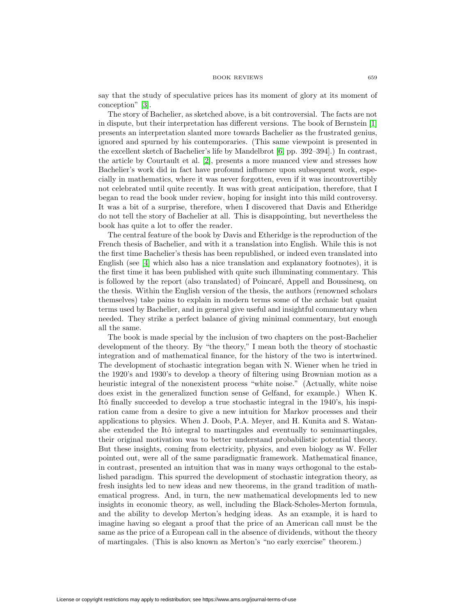say that the study of speculative prices has its moment of glory at its moment of conception" [\[3\]](#page-3-2).

The story of Bachelier, as sketched above, is a bit controversial. The facts are not in dispute, but their interpretation has different versions. The book of Bernstein [\[1\]](#page-3-1) presents an interpretation slanted more towards Bachelier as the frustrated genius, ignored and spurned by his contemporaries. (This same viewpoint is presented in the excellent sketch of Bachelier's life by Mandelbrot [\[6,](#page-3-3) pp. 392–394].) In contrast, the article by Courtault et al. [\[2\]](#page-3-4), presents a more nuanced view and stresses how Bachelier's work did in fact have profound influence upon subsequent work, especially in mathematics, where it was never forgotten, even if it was incontrovertibly not celebrated until quite recently. It was with great anticipation, therefore, that I began to read the book under review, hoping for insight into this mild controversy. It was a bit of a surprise, therefore, when I discovered that Davis and Etheridge do not tell the story of Bachelier at all. This is disappointing, but nevertheless the book has quite a lot to offer the reader.

The central feature of the book by Davis and Etheridge is the reproduction of the French thesis of Bachelier, and with it a translation into English. While this is not the first time Bachelier's thesis has been republished, or indeed even translated into English (see [\[4\]](#page-3-5) which also has a nice translation and explanatory footnotes), it is the first time it has been published with quite such illuminating commentary. This is followed by the report (also translated) of Poincaré, Appell and Boussinesq, on the thesis. Within the English version of the thesis, the authors (renowned scholars themselves) take pains to explain in modern terms some of the archaic but quaint terms used by Bachelier, and in general give useful and insightful commentary when needed. They strike a perfect balance of giving minimal commentary, but enough all the same.

The book is made special by the inclusion of two chapters on the post-Bachelier development of the theory. By "the theory," I mean both the theory of stochastic integration and of mathematical finance, for the history of the two is intertwined. The development of stochastic integration began with N. Wiener when he tried in the 1920's and 1930's to develop a theory of filtering using Brownian motion as a heuristic integral of the nonexistent process "white noise." (Actually, white noise does exist in the generalized function sense of Gelfand, for example.) When K. Itô finally succeeded to develop a true stochastic integral in the 1940's, his inspiration came from a desire to give a new intuition for Markov processes and their applications to physics. When J. Doob, P.A. Meyer, and H. Kunita and S. Watanabe extended the Itô integral to martingales and eventually to semimartingales, their original motivation was to better understand probabilistic potential theory. But these insights, coming from electricity, physics, and even biology as W. Feller pointed out, were all of the same paradigmatic framework. Mathematical finance, in contrast, presented an intuition that was in many ways orthogonal to the established paradigm. This spurred the development of stochastic integration theory, as fresh insights led to new ideas and new theorems, in the grand tradition of mathematical progress. And, in turn, the new mathematical developments led to new insights in economic theory, as well, including the Black-Scholes-Merton formula, and the ability to develop Merton's hedging ideas. As an example, it is hard to imagine having so elegant a proof that the price of an American call must be the same as the price of a European call in the absence of dividends, without the theory of martingales. (This is also known as Merton's "no early exercise" theorem.)